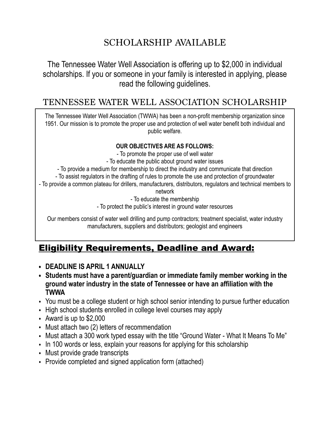# SCHOLARSHIP AVAILABLE

The Tennessee Water Well Association is offering up to \$2,000 in individual scholarships. If you or someone in your family is interested in applying, please read the following guidelines.

### TENNESSEE WATER WELL ASSOCIATION SCHOLARSHIP

The Tennessee Water Well Association (TWWA) has been a non-profit membership organization since 1951. Our mission is to promote the proper use and protection of well water benefit both individual and public welfare.

#### **OUR OBJECTIVES ARE AS FOLLOWS:**

- To promote the proper use of well water
- To educate the public about ground water issues
- To provide a medium for membership to direct the industry and communicate that direction
- To assist regulators in the drafting of rules to promote the use and protection of groundwater
- To provide a common plateau for drillers, manufacturers, distributors, regulators and technical members to

network

- To educate the membership

- To protect the public's interest in ground water resources

Our members consist of water well drilling and pump contractors; treatment specialist, water industry manufacturers, suppliers and distributors; geologist and engineers

## Eligibility Requirements, Deadline and Award:

- **• DEADLINE IS APRIL 1 ANNUALLY**
- **• Students must have a parent/guardian or immediate family member working in the ground water industry in the state of Tennessee or have an affiliation with the TWWA**
- You must be a college student or high school senior intending to pursue further education
- High school students enrolled in college level courses may apply
- Award is up to \$2,000
- Must attach two (2) letters of recommendation
- Must attach a 300 work typed essay with the title "Ground Water What It Means To Me"
- In 100 words or less, explain your reasons for applying for this scholarship
- Must provide grade transcripts
- Provide completed and signed application form (attached)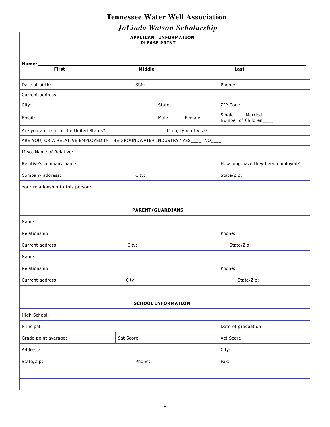### **Tennessee Water Well Association**

*JoLinda Watson Scholarship*

| <b>APPLICANT INFORMATION</b><br><b>PLEASE PRINT</b>                         |            |                         |                                                  |  |  |  |
|-----------------------------------------------------------------------------|------------|-------------------------|--------------------------------------------------|--|--|--|
|                                                                             |            |                         |                                                  |  |  |  |
| Name:____<br>First                                                          | Middle     |                         | Last                                             |  |  |  |
|                                                                             |            |                         |                                                  |  |  |  |
| Date of birth:                                                              | SSN:       |                         | Phone:                                           |  |  |  |
| Current address:                                                            |            |                         |                                                  |  |  |  |
| City:                                                                       |            | State:                  | ZIP Code:                                        |  |  |  |
| Email:                                                                      |            | Male_____ Female____    | Single____ Married____<br>Number of Children____ |  |  |  |
| Are you a citizen of the United States?                                     |            |                         |                                                  |  |  |  |
| ARE YOU, OR A RELATIVE EMPLOYED IN THE GROUNDWATER INDUSTRY? YES____ NO____ |            |                         |                                                  |  |  |  |
| If so, Name of Relative:                                                    |            |                         |                                                  |  |  |  |
| Relative's company name:                                                    |            |                         | How long have they been employed?                |  |  |  |
| Company address:                                                            | City:      |                         | State/Zip:                                       |  |  |  |
| Your relationship to this person:                                           |            |                         |                                                  |  |  |  |
|                                                                             |            |                         |                                                  |  |  |  |
|                                                                             |            | <b>PARENT/GUARDIANS</b> |                                                  |  |  |  |
| Name:                                                                       |            |                         |                                                  |  |  |  |
| Relationship:                                                               |            |                         | Phone:                                           |  |  |  |
| Current address:                                                            | City:      |                         | State/Zip:                                       |  |  |  |
| Name:                                                                       |            |                         |                                                  |  |  |  |
| Relationship:                                                               |            |                         | Phone:                                           |  |  |  |
| Current address:<br>City:                                                   |            |                         | State/Zip:                                       |  |  |  |
|                                                                             |            |                         |                                                  |  |  |  |
| <b>SCHOOL INFORMATION</b>                                                   |            |                         |                                                  |  |  |  |
| High School:                                                                |            |                         |                                                  |  |  |  |
| Principal:                                                                  |            |                         | Date of graduation:                              |  |  |  |
| Grade point average:                                                        | Sat Score: |                         | Act Score:                                       |  |  |  |
| Address:                                                                    |            |                         | City:                                            |  |  |  |
| State/Zip:                                                                  | Phone:     |                         | Fax:                                             |  |  |  |
|                                                                             |            |                         |                                                  |  |  |  |
|                                                                             |            |                         |                                                  |  |  |  |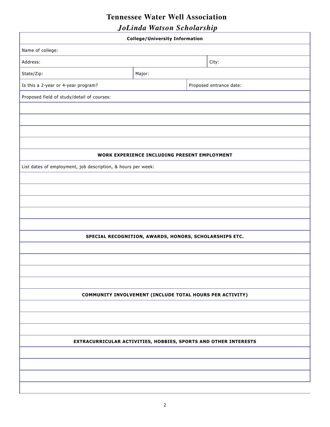### **Tennessee Water Well Association**

*JoLinda Watson Scholarship*

| <b>College/University Information</b>                           |                                                        |  |                         |  |  |
|-----------------------------------------------------------------|--------------------------------------------------------|--|-------------------------|--|--|
| Name of college:                                                |                                                        |  |                         |  |  |
| Address:                                                        |                                                        |  | City:                   |  |  |
| State/Zip:                                                      | Major:                                                 |  |                         |  |  |
| Is this a 2-year or 4-year program?                             |                                                        |  | Proposed entrance date: |  |  |
| Proposed field of study/detail of courses:                      |                                                        |  |                         |  |  |
|                                                                 |                                                        |  |                         |  |  |
|                                                                 |                                                        |  |                         |  |  |
|                                                                 |                                                        |  |                         |  |  |
|                                                                 |                                                        |  |                         |  |  |
|                                                                 | WORK EXPERIENCE INCLUDING PRESENT EMPLOYMENT           |  |                         |  |  |
| List dates of employment, job description, & hours per week:    |                                                        |  |                         |  |  |
|                                                                 |                                                        |  |                         |  |  |
|                                                                 |                                                        |  |                         |  |  |
|                                                                 |                                                        |  |                         |  |  |
|                                                                 |                                                        |  |                         |  |  |
|                                                                 |                                                        |  |                         |  |  |
|                                                                 | SPECIAL RECOGNITION, AWARDS, HONORS, SCHOLARSHIPS ETC. |  |                         |  |  |
|                                                                 |                                                        |  |                         |  |  |
|                                                                 |                                                        |  |                         |  |  |
|                                                                 |                                                        |  |                         |  |  |
|                                                                 |                                                        |  |                         |  |  |
| COMMUNITY INVOLVEMENT (INCLUDE TOTAL HOURS PER ACTIVITY)        |                                                        |  |                         |  |  |
|                                                                 |                                                        |  |                         |  |  |
|                                                                 |                                                        |  |                         |  |  |
|                                                                 |                                                        |  |                         |  |  |
| EXTRACURRICULAR ACTIVITIES, HOBBIES, SPORTS AND OTHER INTERESTS |                                                        |  |                         |  |  |
|                                                                 |                                                        |  |                         |  |  |
|                                                                 |                                                        |  |                         |  |  |
|                                                                 |                                                        |  |                         |  |  |
|                                                                 |                                                        |  |                         |  |  |